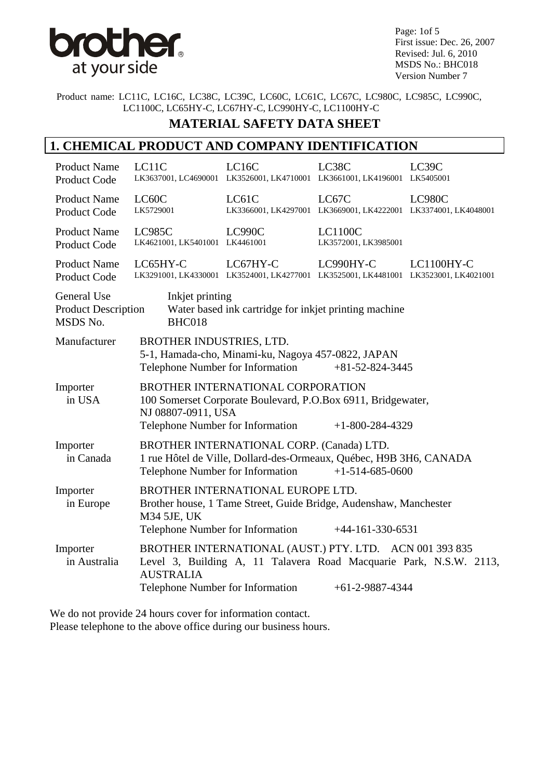

Page: 1of 5 First issue: Dec. 26, 2007 Revised: Jul. 6, 2010 MSDS No.: BHC018 Version Number 7

Product name: LC11C, LC16C, LC38C, LC39C, LC60C, LC61C, LC67C, LC980C, LC985C, LC990C, LC1100C, LC65HY-C, LC67HY-C, LC990HY-C, LC1100HY-C

### **MATERIAL SAFETY DATA SHEET**

#### **1. CHEMICAL PRODUCT AND COMPANY IDENTIFICATION**

| <b>Product Name</b><br>Product Code                          | LC11C                                                                                                                                                                                  | LC16C<br>LK3637001, LC4690001 LK3526001, LK4710001 LK3661001, LK4196001 LK5405001               | LC38C                                                                   | LC39C                                                              |
|--------------------------------------------------------------|----------------------------------------------------------------------------------------------------------------------------------------------------------------------------------------|-------------------------------------------------------------------------------------------------|-------------------------------------------------------------------------|--------------------------------------------------------------------|
| <b>Product Name</b><br><b>Product Code</b>                   | LC60C<br>LK5729001                                                                                                                                                                     | LC61C                                                                                           | LC67C<br>LK3366001, LK4297001 LK3669001, LK4222001 LK3374001, LK4048001 | LC980C                                                             |
| <b>Product Name</b><br><b>Product Code</b>                   | <b>LC985C</b><br>LK4621001, LK5401001 LK4461001                                                                                                                                        | LC990C                                                                                          | <b>LC1100C</b><br>LK3572001, LK3985001                                  |                                                                    |
| <b>Product Name</b><br><b>Product Code</b>                   | LC65HY-C                                                                                                                                                                               | LC67HY-C<br>LK3291001, LK4330001 LK3524001, LK4277001 LK3525001, LK4481001 LK3523001, LK4021001 | LC990HY-C                                                               | LC1100HY-C                                                         |
| <b>General Use</b><br><b>Product Description</b><br>MSDS No. | Inkjet printing<br>BHC018                                                                                                                                                              | Water based ink cartridge for inkjet printing machine                                           |                                                                         |                                                                    |
| Manufacturer                                                 | BROTHER INDUSTRIES, LTD.<br>5-1, Hamada-cho, Minami-ku, Nagoya 457-0822, JAPAN<br>Telephone Number for Information<br>$+81-52-824-3445$                                                |                                                                                                 |                                                                         |                                                                    |
| Importer<br>in USA                                           | BROTHER INTERNATIONAL CORPORATION<br>100 Somerset Corporate Boulevard, P.O.Box 6911, Bridgewater,<br>NJ 08807-0911, USA<br>Telephone Number for Information<br>$+1 - 800 - 284 - 4329$ |                                                                                                 |                                                                         |                                                                    |
| Importer<br>in Canada                                        | BROTHER INTERNATIONAL CORP. (Canada) LTD.<br>1 rue Hôtel de Ville, Dollard-des-Ormeaux, Québec, H9B 3H6, CANADA<br>Telephone Number for Information<br>$+1-514-685-0600$               |                                                                                                 |                                                                         |                                                                    |
| Importer<br>in Europe                                        | BROTHER INTERNATIONAL EUROPE LTD.<br>Brother house, 1 Tame Street, Guide Bridge, Audenshaw, Manchester<br>M34 5JE, UK<br>Telephone Number for Information<br>$+44-161-330-6531$        |                                                                                                 |                                                                         |                                                                    |
| Importer<br>in Australia                                     | <b>AUSTRALIA</b><br>Telephone Number for Information                                                                                                                                   | BROTHER INTERNATIONAL (AUST.) PTY. LTD. ACN 001 393 835                                         | $+61-2-9887-4344$                                                       | Level 3, Building A, 11 Talavera Road Macquarie Park, N.S.W. 2113, |

We do not provide 24 hours cover for information contact. Please telephone to the above office during our business hours.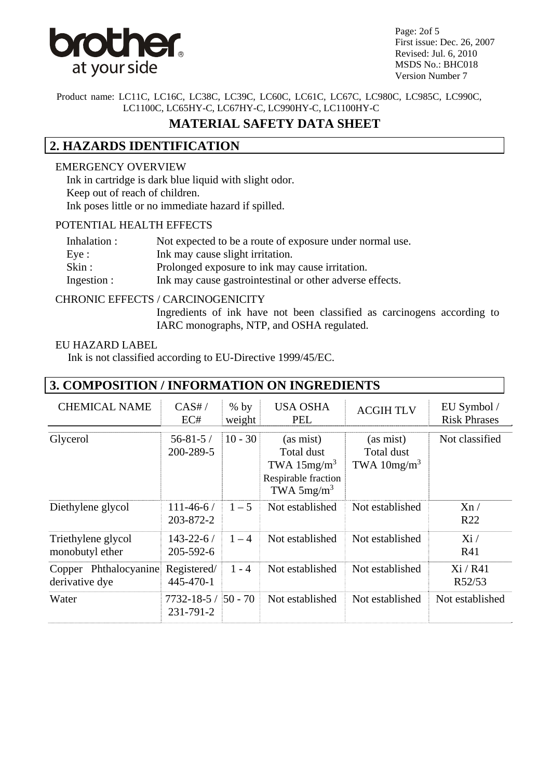

Page: 2of 5 First issue: Dec. 26, 2007 Revised: Jul. 6, 2010 MSDS No.: BHC018 Version Number 7

Product name: LC11C, LC16C, LC38C, LC39C, LC60C, LC61C, LC67C, LC980C, LC985C, LC990C, LC1100C, LC65HY-C, LC67HY-C, LC990HY-C, LC1100HY-C

# **MATERIAL SAFETY DATA SHEET**

# **2. HAZARDS IDENTIFICATION**

#### EMERGENCY OVERVIEW

 Ink in cartridge is dark blue liquid with slight odor. Keep out of reach of children. Ink poses little or no immediate hazard if spilled.

#### POTENTIAL HEALTH EFFECTS

| Inhalation : | Not expected to be a route of exposure under normal use. |
|--------------|----------------------------------------------------------|
| Eye:         | Ink may cause slight irritation.                         |
| Skin:        | Prolonged exposure to ink may cause irritation.          |
| Ingestion :  | Ink may cause gastrointestinal or other adverse effects. |

#### CHRONIC EFFECTS / CARCINOGENICITY

Ingredients of ink have not been classified as carcinogens according to IARC monographs, NTP, and OSHA regulated.

#### EU HAZARD LABEL

Ink is not classified according to EU-Directive 1999/45/EC.

| 3. COMPOSITION / INFORMATION ON INGREDIENTS |                                        |                  |                                                                                  |                                          |                                    |
|---------------------------------------------|----------------------------------------|------------------|----------------------------------------------------------------------------------|------------------------------------------|------------------------------------|
| <b>CHEMICAL NAME</b>                        | CAS#/<br>EC#                           | $%$ by<br>weight | <b>USA OSHA</b><br><b>PEL</b>                                                    | <b>ACGIHTLV</b>                          | EU Symbol /<br><b>Risk Phrases</b> |
| Glycerol                                    | $56 - 81 - 5/$<br>200-289-5            | $10 - 30$        | (as mist)<br>Total dust<br>TWA $15mg/m3$<br>Respirable fraction<br>TWA $5mg/m^3$ | (as mist)<br>Total dust<br>TWA $10mg/m3$ | Not classified                     |
| Diethylene glycol                           | $111 - 46 - 6$<br>203-872-2            | $1 - 5$          | Not established                                                                  | Not established                          | Xn/<br>R <sub>22</sub>             |
| Triethylene glycol<br>monobutyl ether       | $143 - 22 - 6/$<br>205-592-6           | $1 - 4$          | Not established                                                                  | Not established                          | Xi/<br>R41                         |
| Copper Phthalocyanine<br>derivative dye     | Registered/<br>445-470-1               | $1 - 4$          | Not established                                                                  | Not established                          | Xi/RA1<br>R52/53                   |
| Water                                       | $7732 - 18 - 5 / 50 - 70$<br>231-791-2 |                  | Not established                                                                  | Not established                          | Not established                    |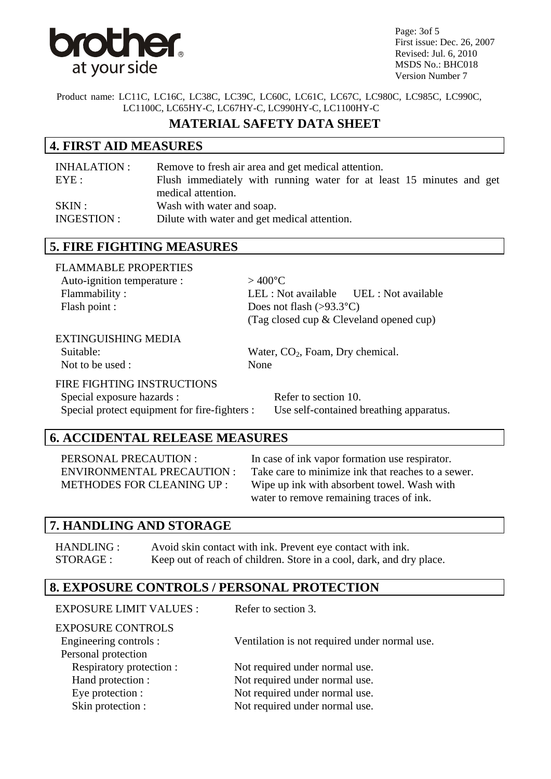

Page: 3of 5 First issue: Dec. 26, 2007 Revised: Jul. 6, 2010 MSDS No.: BHC018 Version Number 7

Product name: LC11C, LC16C, LC38C, LC39C, LC60C, LC61C, LC67C, LC980C, LC985C, LC990C, LC1100C, LC65HY-C, LC67HY-C, LC990HY-C, LC1100HY-C

# **MATERIAL SAFETY DATA SHEET**

#### **4. FIRST AID MEASURES**

| INHALATION : | Remove to fresh air area and get medical attention.                  |
|--------------|----------------------------------------------------------------------|
| EYE:         | Flush immediately with running water for at least 15 minutes and get |
|              | medical attention.                                                   |
| SKIN:        | Wash with water and soap.                                            |
| INGESTION :  | Dilute with water and get medical attention.                         |

## **5. FIRE FIGHTING MEASURES**

| <b>FLAMMABLE PROPERTIES</b> |                                           |  |
|-----------------------------|-------------------------------------------|--|
| Auto-ignition temperature : | $>$ 400°C.                                |  |
| Flammability:               |                                           |  |
| Flash point :               | Does not flash $(>93.3^{\circ}C)$         |  |
|                             | (Tag closed cup $&$ Cleveland opened cup) |  |

#### EXTINGUISHING MEDIA

Not to be used : None

Suitable: Water, CO<sub>2</sub>, Foam, Dry chemical.

#### FIRE FIGHTING INSTRUCTIONS

Special exposure hazards : Refer to section 10. Special protect equipment for fire-fighters : Use self-contained breathing apparatus.

# **6. ACCIDENTAL RELEASE MEASURES**

PERSONAL PRECAUTION : In case of ink vapor formation use respirator. ENVIRONMENTAL PRECAUTION : Take care to minimize ink that reaches to a sewer. METHODES FOR CLEANING UP : Wipe up ink with absorbent towel. Wash with water to remove remaining traces of ink.

## **7. HANDLING AND STORAGE**

HANDLING : Avoid skin contact with ink. Prevent eye contact with ink. STORAGE : Keep out of reach of children. Store in a cool, dark, and dry place.

## **8. EXPOSURE CONTROLS / PERSONAL PROTECTION**

| <b>EXPOSURE LIMIT VALUES:</b>                                             | Refer to section 3.                           |
|---------------------------------------------------------------------------|-----------------------------------------------|
| <b>EXPOSURE CONTROLS</b><br>Engineering controls :<br>Personal protection | Ventilation is not required under normal use. |
| Respiratory protection :                                                  | Not required under normal use.                |
| Hand protection :                                                         | Not required under normal use.                |
| Eye protection :                                                          | Not required under normal use.                |
| Skin protection :                                                         | Not required under normal use.                |
|                                                                           |                                               |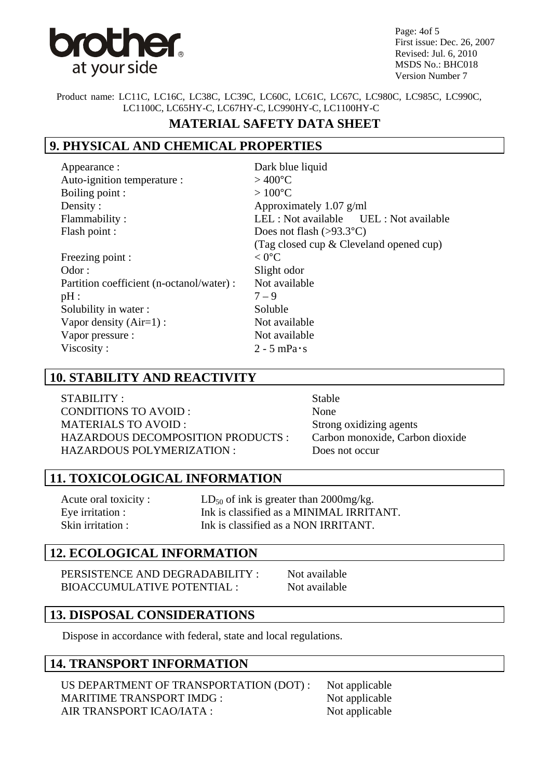

Page: 4of 5 First issue: Dec. 26, 2007 Revised: Jul. 6, 2010 MSDS No.: BHC018 Version Number 7

Product name: LC11C, LC16C, LC38C, LC39C, LC60C, LC61C, LC67C, LC980C, LC985C, LC990C, LC1100C, LC65HY-C, LC67HY-C, LC990HY-C, LC1100HY-C

# **MATERIAL SAFETY DATA SHEET**

# **9. PHYSICAL AND CHEMICAL PROPERTIES**

Appearance : Dark blue liquid Auto-ignition temperature :  $> 400^{\circ}$ C Boiling point :  $> 100^{\circ}$ C Density : Approximately 1.07 g/ml Flash point : Does not flash (>93.3°C) Freezing point :  $\langle 0^{\circ}$ C Odor : Slight odor : Partition coefficient (n-octanol/water) : Not available  $pH: 7-9$ 

 Flammability : LEL : Not available UEL : Not available (Tag closed cup & Cleveland opened cup) Solubility in water : Soluble Vapor density (Air=1) : Not available Vapor pressure : Not available Viscosity :  $2 - 5$  mPa·s

## **10. STABILITY AND REACTIVITY**

STABILITY : Stable CONDITIONS TO AVOID : None MATERIALS TO AVOID : Strong oxidizing agents HAZARDOUS DECOMPOSITION PRODUCTS : Carbon monoxide, Carbon dioxide HAZARDOUS POLYMERIZATION : Does not occur

## **11. TOXICOLOGICAL INFORMATION**

Acute oral toxicity :  $LD_{50}$  of ink is greater than 2000mg/kg. Eye irritation : Ink is classified as a MINIMAL IRRITANT. Skin irritation : Ink is classified as a NON IRRITANT.

#### **12. ECOLOGICAL INFORMATION**

PERSISTENCE AND DEGRADABILITY : Not available BIOACCUMULATIVE POTENTIAL : Not available

**13. DISPOSAL CONSIDERATIONS**

Dispose in accordance with federal, state and local regulations.

## **14. TRANSPORT INFORMATION**

US DEPARTMENT OF TRANSPORTATION (DOT) : Not applicable MARITIME TRANSPORT IMDG : Not applicable AIR TRANSPORT ICAO/IATA : Not applicable